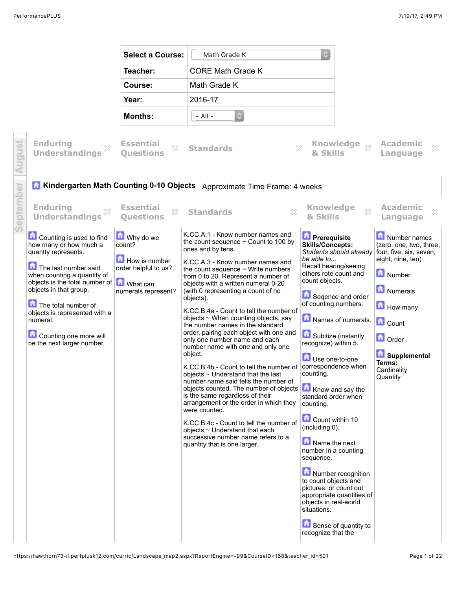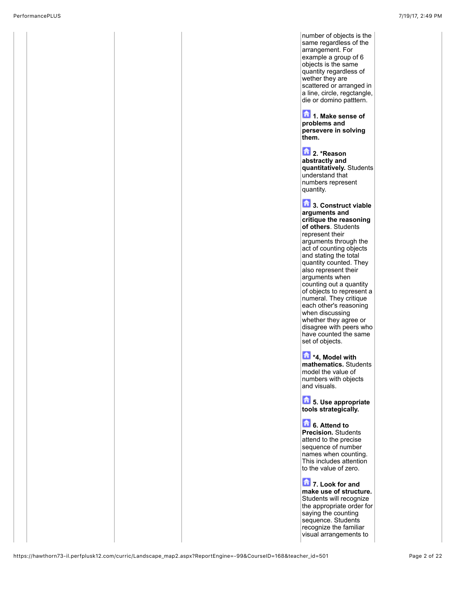number of objects is the same regardless of the arrangement. For example a group of 6 objects is the same quantity regardless of wether they are scattered or arranged in a line, circle, regctangle, die or domino patttern.

**1. Make sense of problems and persevere in solving them.**

**2.** \*Reason **abstractly and quantitatively.** Students understand that numbers represent quantity.

**13. Construct viable arguments and critique the reasoning of others**. Students represent their arguments through the act of counting objects and stating the total quantity counted. They also represent their arguments when counting out a quantity of objects to represent a numeral. They critique each other's reasoning when discussing whether they agree or disagree with peers who have counted the same set of objects.

**\*4, Model with mathematics.** Students model the value of numbers with objects and visuals.

**5. Use appropriate tools strategically.**

**6.** Attend to **Precision.** Students attend to the precise sequence of number names when counting. This includes attention to the value of zero.

**12** 7. Look for and **make use of structure.** Students will recognize the appropriate order for saying the counting sequence. Students recognize the familiar visual arrangements to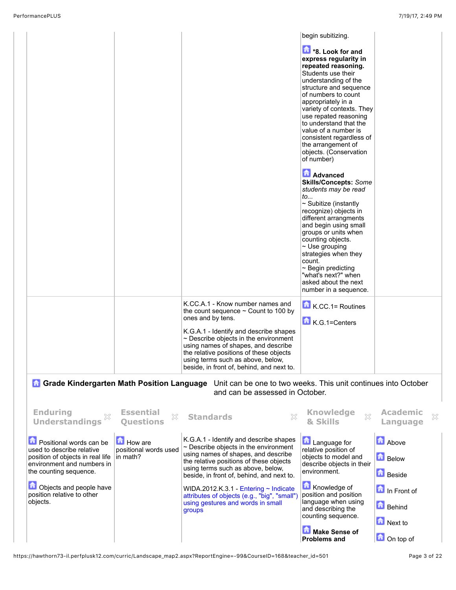|                                                                                                                                                           |                                                     | K.CC.A.1 - Know number names and<br>the count sequence $\sim$ Count to 100 by<br>ones and by tens.                                                                                                                                                       | begin subitizing.<br><b>1</b> *8. Look for and<br>express regularity in<br>repeated reasoning.<br>Students use their<br>understanding of the<br>structure and sequence<br>of numbers to count<br>appropriately in a<br>variety of contexts. They<br>use repated reasoning<br>to understand that the<br>value of a number is<br>consistent regardless of<br>the arrangement of<br>objects. (Conservation<br>of number)<br><b>Advanced</b><br><b>Skills/Concepts: Some</b><br>students may be read<br>to<br>$\sim$ Subitize (instantly<br>recognize) objects in<br>different arrangments<br>and begin using small<br>groups or units when<br>counting objects.<br>$\sim$ Use grouping<br>strategies when they<br>count.<br>$\sim$ Begin predicting<br>"what's next?" when<br>asked about the next<br>number in a sequence.<br>$\bullet$ K.CC.1= Routines |                                               |  |
|-----------------------------------------------------------------------------------------------------------------------------------------------------------|-----------------------------------------------------|----------------------------------------------------------------------------------------------------------------------------------------------------------------------------------------------------------------------------------------------------------|--------------------------------------------------------------------------------------------------------------------------------------------------------------------------------------------------------------------------------------------------------------------------------------------------------------------------------------------------------------------------------------------------------------------------------------------------------------------------------------------------------------------------------------------------------------------------------------------------------------------------------------------------------------------------------------------------------------------------------------------------------------------------------------------------------------------------------------------------------|-----------------------------------------------|--|
|                                                                                                                                                           |                                                     | $\sim$ Describe objects in the environment<br>using names of shapes, and describe<br>the relative positions of these objects<br>using terms such as above, below,<br>beside, in front of, behind, and next to.                                           |                                                                                                                                                                                                                                                                                                                                                                                                                                                                                                                                                                                                                                                                                                                                                                                                                                                        |                                               |  |
|                                                                                                                                                           |                                                     | <b>A Grade Kindergarten Math Position Language</b> Unit can be one to two weeks. This unit continues into October<br>and can be assessed in October.                                                                                                     |                                                                                                                                                                                                                                                                                                                                                                                                                                                                                                                                                                                                                                                                                                                                                                                                                                                        |                                               |  |
| <b>Enduring</b><br><b>Understandings</b>                                                                                                                  | <b>Essential</b><br>×<br><b>Ouestions</b>           | <b>Standards</b><br>X                                                                                                                                                                                                                                    | <b>Knowledge</b><br>& Skills                                                                                                                                                                                                                                                                                                                                                                                                                                                                                                                                                                                                                                                                                                                                                                                                                           | <b>Academic</b><br>×<br>Language              |  |
| <b>D</b> Positional words can be<br>used to describe relative<br>position of objects in real life<br>environment and numbers in<br>the counting sequence. | <b>How</b> are<br>positional words used<br>in math? | K.G.A.1 - Identify and describe shapes<br>$\sim$ Describe objects in the environment<br>using names of shapes, and describe<br>the relative positions of these objects<br>using terms such as above, below,<br>beside, in front of, behind, and next to. | <b>Language for</b><br>relative position of<br>objects to model and<br>describe objects in their<br>environment.                                                                                                                                                                                                                                                                                                                                                                                                                                                                                                                                                                                                                                                                                                                                       | <b>Above</b><br><b>Below</b><br><b>Beside</b> |  |
| Objects and people have<br>position relative to other<br>objects.                                                                                         |                                                     | WIDA.2012.K.3.1 - Entering $\sim$ Indicate<br>attributes of objects (e.g., "big", "small")<br>using gestures and words in small<br>groups                                                                                                                | Knowledge of<br>position and position<br>language when using<br>and describing the<br>counting sequence.                                                                                                                                                                                                                                                                                                                                                                                                                                                                                                                                                                                                                                                                                                                                               | In Front of<br><b>Behind</b><br>Next to       |  |
|                                                                                                                                                           |                                                     |                                                                                                                                                                                                                                                          | Make Sense of<br><b>Problems and</b>                                                                                                                                                                                                                                                                                                                                                                                                                                                                                                                                                                                                                                                                                                                                                                                                                   | On top of                                     |  |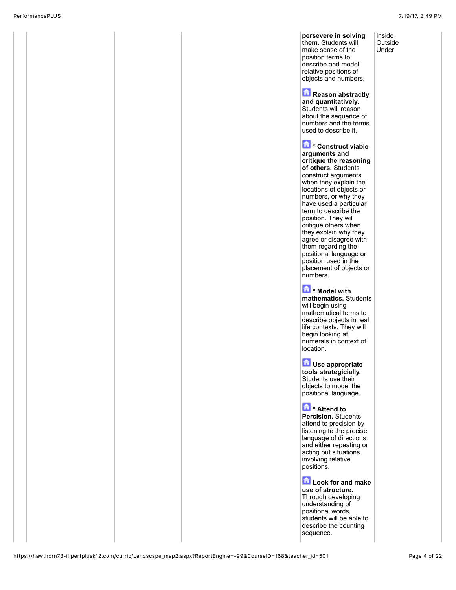Inside **Outside** Under

**persevere in solving them.** Students will make sense of the position terms to describe and model relative positions of objects and numbers.

**Reason abstractly and quantitatively.** Students will reason about the sequence of numbers and the terms used to describe it.

**\* Construct viable arguments and critique the reasoning of others.** Students construct arguments when they explain the locations of objects or numbers, or why they have used a particular term to describe the position. They will critique others when they explain why they agree or disagree with them regarding the positional language or position used in the placement of objects or numbers.

**\* Model with mathematics.** Students will begin using mathematical terms to describe objects in real life contexts. They will begin looking at numerals in context of location.

**La Use appropriate tools strategicially.** Students use their objects to model the positional language.

**\* Attend to Percision.** Students attend to precision by listening to the precise language of directions and either repeating or acting out situations involving relative positions.

**Look for and make use of structure.** Through developing understanding of positional words, students will be able to describe the counting sequence.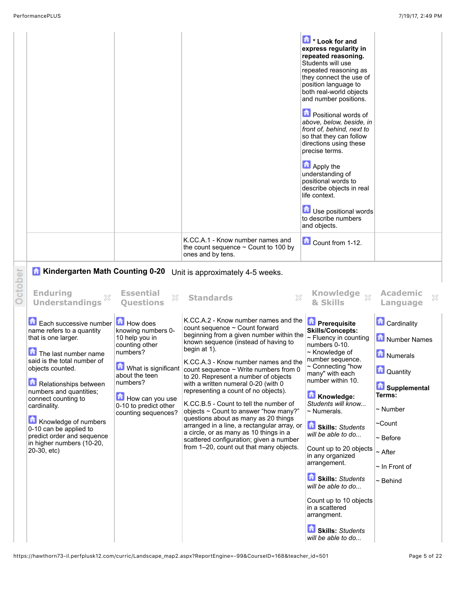|                                                                                                                                                                                                                                                                                                                                                                                                                                                  |                                                                                                                                                                                                                | K.CC.A.1 - Know number names and<br>the count sequence $\sim$ Count to 100 by<br>ones and by tens.                                                                                                                                                                                                                                                                                                                                                                                                                                                                                                                                                                                                                    | Look for and<br>express regularity in<br>repeated reasoning.<br>Students will use<br>repeated reasoning as<br>they connect the use of<br>position language to<br>both real-world objects<br>and number positions.<br><b>D</b> Positional words of<br>above, below, beside, in<br>front of, behind, next to<br>so that they can follow<br>directions using these<br>precise terms.<br>Apply the<br>understanding of<br>positional words to<br>describe objects in real<br>life context.<br>Use positional words<br>to describe numbers<br>and objects.<br>Count from 1-12. |                                                                                                                                                                                                            |
|--------------------------------------------------------------------------------------------------------------------------------------------------------------------------------------------------------------------------------------------------------------------------------------------------------------------------------------------------------------------------------------------------------------------------------------------------|----------------------------------------------------------------------------------------------------------------------------------------------------------------------------------------------------------------|-----------------------------------------------------------------------------------------------------------------------------------------------------------------------------------------------------------------------------------------------------------------------------------------------------------------------------------------------------------------------------------------------------------------------------------------------------------------------------------------------------------------------------------------------------------------------------------------------------------------------------------------------------------------------------------------------------------------------|---------------------------------------------------------------------------------------------------------------------------------------------------------------------------------------------------------------------------------------------------------------------------------------------------------------------------------------------------------------------------------------------------------------------------------------------------------------------------------------------------------------------------------------------------------------------------|------------------------------------------------------------------------------------------------------------------------------------------------------------------------------------------------------------|
| <b>A Kindergarten Math Counting 0-20</b><br><b>Enduring</b>                                                                                                                                                                                                                                                                                                                                                                                      | <b>Essential</b><br>X                                                                                                                                                                                          | Unit is approximately 4-5 weeks.<br>$\boldsymbol{\mathbb{X}}$                                                                                                                                                                                                                                                                                                                                                                                                                                                                                                                                                                                                                                                         | <b>Knowledge</b><br>$\chi$                                                                                                                                                                                                                                                                                                                                                                                                                                                                                                                                                | <b>Academic</b><br>×                                                                                                                                                                                       |
| <b>Understandings</b><br><b>Example 2</b> Each successive number <b>Example 2</b> How does<br>name refers to a quantity<br>that is one larger.<br>The last number name<br>said is the total number of<br>objects counted.<br>Relationships between<br>numbers and quantities;<br>connect counting to<br>cardinality.<br>Knowledge of numbers<br>0-10 can be applied to<br>predict order and sequence<br>in higher numbers (10-20,<br>20-30, etc) | <b>Questions</b><br>knowing numbers 0-<br>10 help you in<br>counting other<br>numbers?<br>What is significant<br>about the teen<br>numbers?<br>How can you use<br>0-10 to predict other<br>counting sequences? | <b>Standards</b><br>K.CC.A.2 - Know number names and the<br>count sequence ~ Count forward<br>beginning from a given number within the<br>known sequence (instead of having to<br>begin at 1).<br>K.CC.A.3 - Know number names and the<br>count sequence $\sim$ Write numbers from 0<br>to 20. Represent a number of objects<br>with a written numeral 0-20 (with 0<br>representing a count of no objects).<br>K.CC.B.5 - Count to tell the number of<br>objects ~ Count to answer "how many?"<br>questions about as many as 20 things<br>arranged in a line, a rectangular array, or<br>a circle, or as many as 10 things in a<br>scattered configuration; given a number<br>from 1-20, count out that many objects. | & Skills<br><b>Prerequisite</b><br><b>Skills/Concepts:</b><br>~ Fluency in counting<br>numbers 0-10.<br>$\sim$ Knowledge of<br>number sequence<br>$\sim$ Connecting "how<br>many" with each<br>number within 10.<br>Knowledge:<br>Students will know<br>$\sim$ Numerals.<br>Skills: Students<br>will be able to do<br>Count up to 20 objects<br>in any organized<br>arrangement.<br>Skills: Students<br>will be able to do<br>Count up to 10 objects<br>in a scattered<br>arrangment.<br>Skills: Students<br>will be able to do                                           | Language<br><b>Cardinality</b><br>Number Names<br>Numerals<br>Quantity<br>Supplemental<br>Terms:<br>$\sim$ Number<br>$\sim$ Count<br>$\sim$ Before<br>$~\sim$ After<br>$\sim$ In Front of<br>$\sim$ Behind |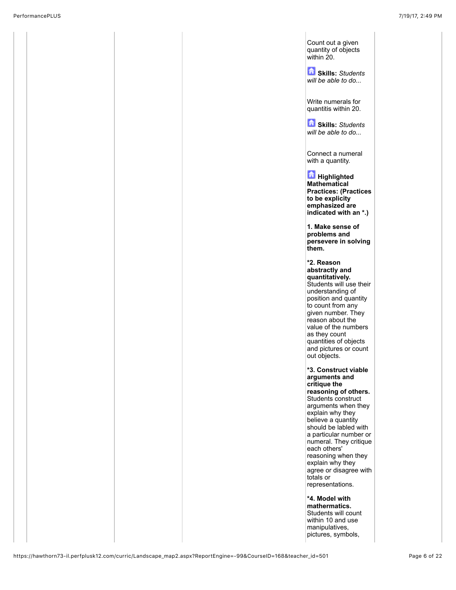Count out a given quantity of objects within 20.

**Skills:** *Students will be able to do...*

Write numerals for quantitis within 20.

**Skills:** *Students will be able to do...*

Connect a numeral with a quantity.

**Highlighted Mathematical Practices: (Practices to be explicity emphasized are indicated with an \*.)**

**1. Make sense of problems and persevere in solving them.** 

**\*2. Reason abstractly and quantitatively.** Students will use their understanding of position and quantity to count from any given number. They reason about the value of the numbers as they count quantities of objects and pictures or count out objects.

**\*3. Construct viable arguments and critique the reasoning of others.** Students construct arguments when they explain why they believe a quantity should be labled with a particular number or numeral. They critique each others' reasoning when they explain why they agree or disagree with totals or representations.

**\*4. Model with mathermatics.** Students will count within 10 and use manipulatives, pictures, symbols,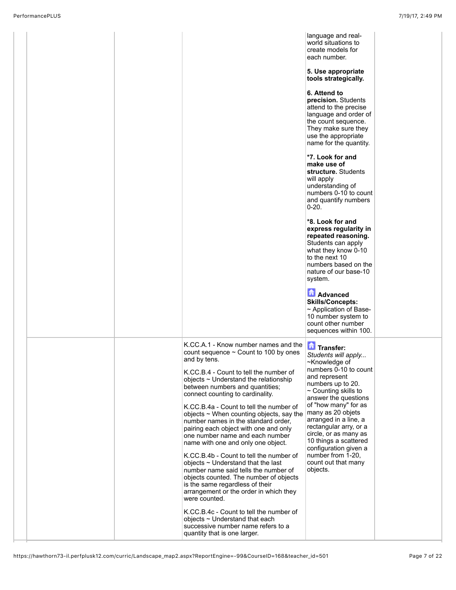|  |                                                                                                                                                                                                                                                                                                                                                                                                                                                                                                                                                                                                                                                                                                                                                                                                                                                                      | language and real-<br>world situations to<br>create models for<br>each number.<br>5. Use appropriate<br>tools strategically.<br>6. Attend to<br>precision. Students<br>attend to the precise<br>language and order of<br>the count sequence.<br>They make sure they<br>use the appropriate<br>name for the quantity.<br>*7. Look for and<br>make use of<br>structure. Students<br>will apply<br>understanding of<br>numbers 0-10 to count<br>and quantify numbers<br>$0 - 20.$<br>*8. Look for and<br>express regularity in |  |
|--|----------------------------------------------------------------------------------------------------------------------------------------------------------------------------------------------------------------------------------------------------------------------------------------------------------------------------------------------------------------------------------------------------------------------------------------------------------------------------------------------------------------------------------------------------------------------------------------------------------------------------------------------------------------------------------------------------------------------------------------------------------------------------------------------------------------------------------------------------------------------|-----------------------------------------------------------------------------------------------------------------------------------------------------------------------------------------------------------------------------------------------------------------------------------------------------------------------------------------------------------------------------------------------------------------------------------------------------------------------------------------------------------------------------|--|
|  |                                                                                                                                                                                                                                                                                                                                                                                                                                                                                                                                                                                                                                                                                                                                                                                                                                                                      | repeated reasoning.<br>Students can apply<br>what they know 0-10<br>to the next 10<br>numbers based on the<br>nature of our base-10<br>system.                                                                                                                                                                                                                                                                                                                                                                              |  |
|  |                                                                                                                                                                                                                                                                                                                                                                                                                                                                                                                                                                                                                                                                                                                                                                                                                                                                      | <b>Advanced</b><br><b>Skills/Concepts:</b><br>~ Application of Base-<br>10 number system to<br>count other number<br>sequences within 100.                                                                                                                                                                                                                                                                                                                                                                                  |  |
|  | K.CC.A.1 - Know number names and the<br>count sequence $\sim$ Count to 100 by ones<br>and by tens.<br>K.CC.B.4 - Count to tell the number of<br>objects ~ Understand the relationship<br>between numbers and quantities;<br>connect counting to cardinality.<br>K.CC.B.4a - Count to tell the number of<br>objects $\sim$ When counting objects, say the<br>number names in the standard order,<br>pairing each object with one and only<br>one number name and each number<br>name with one and only one object.<br>K.CC.B.4b - Count to tell the number of<br>objects $\sim$ Understand that the last<br>number name said tells the number of<br>objects counted. The number of objects<br>is the same regardless of their<br>arrangement or the order in which they<br>were counted.<br>K.CC.B.4c - Count to tell the number of<br>objects ~ Understand that each | Transfer:<br>Students will apply<br>~Knowledge of<br>numbers 0-10 to count<br>and represent<br>numbers up to 20.<br>$\sim$ Counting skills to<br>answer the questions<br>of "how many" for as<br>many as 20 objets<br>arranged in a line, a<br>rectangular arry, or a<br>circle, or as many as<br>10 things a scattered<br>configuration given a<br>number from 1-20,<br>count out that many<br>objects.                                                                                                                    |  |
|  | successive number name refers to a<br>quantity that is one larger.                                                                                                                                                                                                                                                                                                                                                                                                                                                                                                                                                                                                                                                                                                                                                                                                   |                                                                                                                                                                                                                                                                                                                                                                                                                                                                                                                             |  |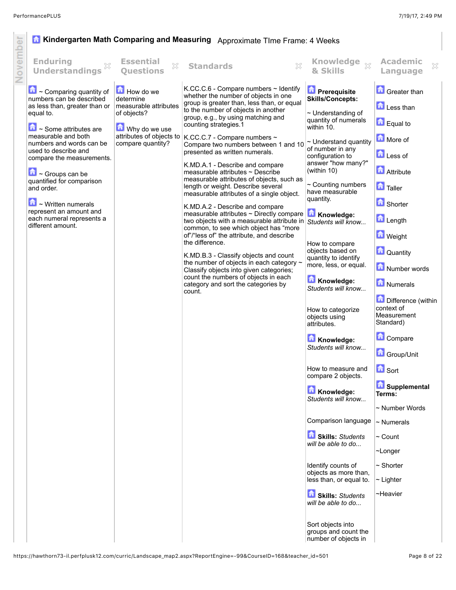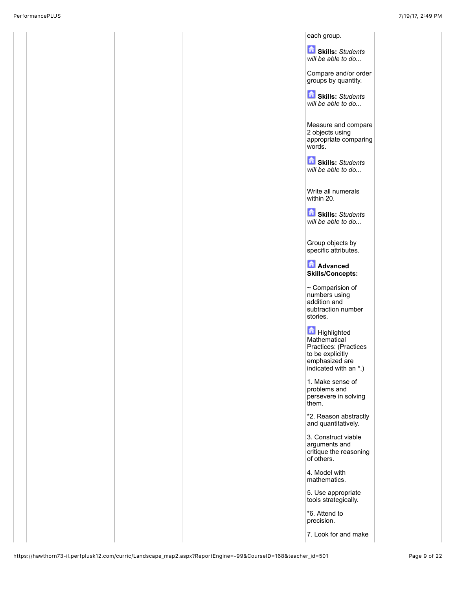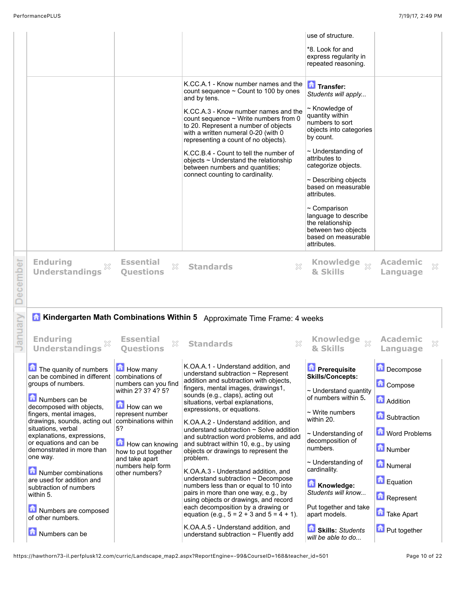|            | PerformancePLUS<br>7/19/17, 2:49 PM                                                                                                                                                                                                                                                                                                                                                                                                                                          |                                                                                                                                                                                                                                                    |                                                                                                                                                                                                                                                                                                                                                                                                                                                                                                                                                                                                                                                                                                                                                                                                                                                                                              |                                                                                                                                                                                                                                                                                                                                                                                                      |                                                                                                                                                                       |  |  |
|------------|------------------------------------------------------------------------------------------------------------------------------------------------------------------------------------------------------------------------------------------------------------------------------------------------------------------------------------------------------------------------------------------------------------------------------------------------------------------------------|----------------------------------------------------------------------------------------------------------------------------------------------------------------------------------------------------------------------------------------------------|----------------------------------------------------------------------------------------------------------------------------------------------------------------------------------------------------------------------------------------------------------------------------------------------------------------------------------------------------------------------------------------------------------------------------------------------------------------------------------------------------------------------------------------------------------------------------------------------------------------------------------------------------------------------------------------------------------------------------------------------------------------------------------------------------------------------------------------------------------------------------------------------|------------------------------------------------------------------------------------------------------------------------------------------------------------------------------------------------------------------------------------------------------------------------------------------------------------------------------------------------------------------------------------------------------|-----------------------------------------------------------------------------------------------------------------------------------------------------------------------|--|--|
|            |                                                                                                                                                                                                                                                                                                                                                                                                                                                                              |                                                                                                                                                                                                                                                    |                                                                                                                                                                                                                                                                                                                                                                                                                                                                                                                                                                                                                                                                                                                                                                                                                                                                                              | use of structure.<br>*8. Look for and<br>express regularity in<br>repeated reasoning.                                                                                                                                                                                                                                                                                                                |                                                                                                                                                                       |  |  |
|            |                                                                                                                                                                                                                                                                                                                                                                                                                                                                              |                                                                                                                                                                                                                                                    | K.CC.A.1 - Know number names and the<br>count sequence $\sim$ Count to 100 by ones<br>and by tens.<br>K.CC.A.3 - Know number names and the<br>count sequence $\sim$ Write numbers from 0<br>to 20. Represent a number of objects<br>with a written numeral 0-20 (with 0<br>representing a count of no objects).<br>K.CC.B.4 - Count to tell the number of<br>objects $\sim$ Understand the relationship<br>between numbers and quantities;<br>connect counting to cardinality.                                                                                                                                                                                                                                                                                                                                                                                                               | Transfer:<br>Students will apply<br>~ Knowledge of<br>quantity within<br>numbers to sort<br>objects into categories<br>by count.<br>$\sim$ Understanding of<br>attributes to<br>categorize objects.<br>$\sim$ Describing objects<br>based on measurable<br>attributes.<br>$\sim$ Comparison<br>language to describe<br>the relationship<br>between two objects<br>based on measurable<br>attributes. |                                                                                                                                                                       |  |  |
| ecember    | <b>Enduring</b><br><b>Understandings</b>                                                                                                                                                                                                                                                                                                                                                                                                                                     | <b>Essential</b><br>X<br><b>Questions</b>                                                                                                                                                                                                          | X<br><b>Standards</b>                                                                                                                                                                                                                                                                                                                                                                                                                                                                                                                                                                                                                                                                                                                                                                                                                                                                        | Knowledge $_\%$<br>& Skills                                                                                                                                                                                                                                                                                                                                                                          | <b>Academic</b><br>X<br>Language                                                                                                                                      |  |  |
| nuary<br>a | <b>Enduring</b><br>342<br><b>Understandings</b>                                                                                                                                                                                                                                                                                                                                                                                                                              | <b>Essential</b><br>X<br><b>Questions</b>                                                                                                                                                                                                          | Kindergarten Math Combinations Within 5 Approximate Time Frame: 4 weeks<br>942<br><b>Standards</b>                                                                                                                                                                                                                                                                                                                                                                                                                                                                                                                                                                                                                                                                                                                                                                                           | Knowledge $\mathcal{P}$ Academic<br>& Skills                                                                                                                                                                                                                                                                                                                                                         | Language                                                                                                                                                              |  |  |
|            | The quanity of numbers<br>can be combined in different<br>groups of numbers.<br>Numbers can be<br>decomposed with objects,<br>fingers, mental images,<br>drawings, sounds, acting out<br>situations, verbal<br>explanations, expressions,<br>or equations and can be<br>demonstrated in more than<br>one way.<br>Number combinations<br>are used for addition and<br>subtraction of numbers<br>within 5.<br>Numbers are composed<br>of other numbers.<br>命<br>Numbers can be | <b>How many</b><br>combinations of<br>numbers can you find<br>within 2? 3? 4? 5?<br>How can we<br>represent number<br>combinations within<br>5?<br>How can knowing<br>how to put together<br>and take apart<br>numbers help form<br>other numbers? | K.OA.A.1 - Understand addition, and<br>understand subtraction $\sim$ Represent<br>addition and subtraction with objects,<br>fingers, mental images, drawings1,<br>sounds (e.g., claps), acting out<br>situations, verbal explanations,<br>expressions, or equations.<br>K.OA.A.2 - Understand addition, and<br>understand subtraction $\sim$ Solve addition<br>and subtraction word problems, and add<br>and subtract within 10, e.g., by using<br>objects or drawings to represent the<br>problem.<br>K.OA.A.3 - Understand addition, and<br>understand subtraction $\sim$ Decompose<br>numbers less than or equal to 10 into<br>pairs in more than one way, e.g., by<br>using objects or drawings, and record<br>each decomposition by a drawing or<br>equation (e.g., $5 = 2 + 3$ and $5 = 4 + 1$ ).<br>K.OA.A.5 - Understand addition, and<br>understand subtraction $\sim$ Fluently add | <b>D</b> Prerequisite<br><b>Skills/Concepts:</b><br>$\sim$ Understand quantity<br>of numbers within 5.<br>$\sim$ Write numbers<br>within 20.<br>$\sim$ Understanding of<br>decomposition of<br>numbers.<br>$\sim$ Understanding of<br>cardinality.<br>Knowledge:<br>Students will know<br>Put together and take<br>apart models.<br>尙<br><b>Skills: Students</b><br>will be able to do               | Decompose<br>Compose<br><b>Addition</b><br><b>B</b> Subtraction<br>Word Problems<br>Number<br>Numeral<br>Equation<br>Represent<br><b>n</b> Take Apart<br>Put together |  |  |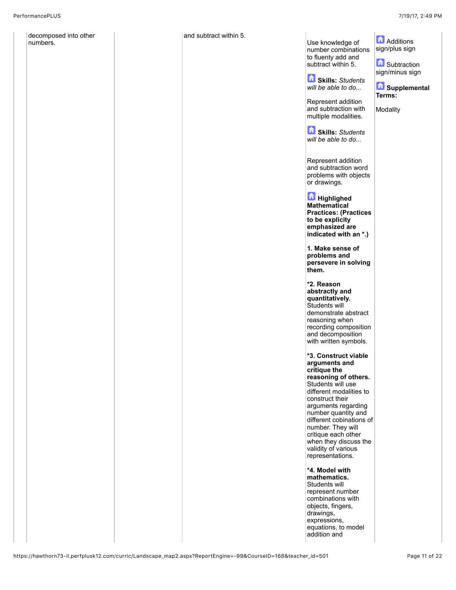decomposed into other numbers.

| within 5. | Use knowledge of<br>number combinations<br>to fluenty add and<br>subtract within 5.<br>Skills: Students<br>will be able to do<br>Represent addition<br>and subtraction with<br>multiple modalities.<br><b>Skills: Students</b><br>will be able to do<br>Represent addition<br>and subtraction word<br>problems with objects<br>or drawings.<br><b>Highlighed</b> | <b>Additions</b><br>sign/plus sign<br><b>B</b> Subtraction<br>sign/minus sign<br>Supplemental<br>Terms:<br>Modality |
|-----------|------------------------------------------------------------------------------------------------------------------------------------------------------------------------------------------------------------------------------------------------------------------------------------------------------------------------------------------------------------------|---------------------------------------------------------------------------------------------------------------------|
|           | Mathematical<br><b>Practices: (Practices</b><br>to be explicity<br>emphasized are<br>indicated with an *.)<br>1. Make sense of<br>problems and<br>persevere in solving<br>them.<br>*2. Reason                                                                                                                                                                    |                                                                                                                     |
|           | abstractly and<br>quantitatively.<br>Students will<br>demonstrate abstract<br>reasoning when<br>recording composition<br>and decomposition<br>with written symbols.<br>*3. Construct viable<br>arguments and                                                                                                                                                     |                                                                                                                     |
|           | critique the<br>reasoning of others.<br>Students will use<br>different modalities to<br>construct their<br>arguments regarding<br>number quantity and<br>different cobinations of<br>number. They will<br>critique each other<br>when they discuss the<br>validity of various<br>representations.                                                                |                                                                                                                     |
|           | *4. Model with<br>mathematics.<br>Students will<br>represent number<br>combinations with<br>objects, fingers,<br>drawings,<br>expressions,<br>equations, to model<br>addition and                                                                                                                                                                                |                                                                                                                     |

and subtract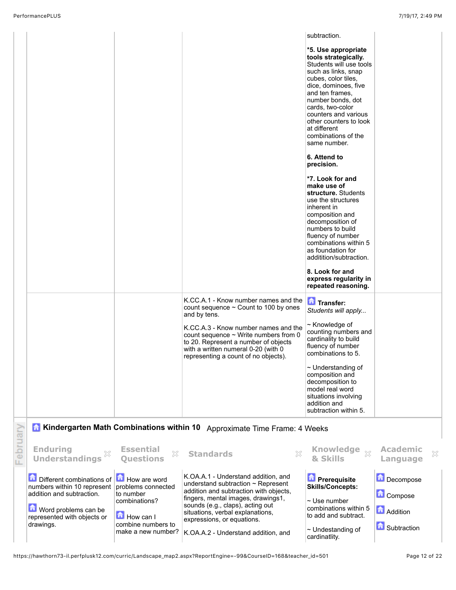|          |                                                                                                                                                                    |                                                                                                                           |                                                                                                                                                                                                                                                                                                             | subtraction.                                                                                                                                                                                                                                                                                                      |                                                                 |
|----------|--------------------------------------------------------------------------------------------------------------------------------------------------------------------|---------------------------------------------------------------------------------------------------------------------------|-------------------------------------------------------------------------------------------------------------------------------------------------------------------------------------------------------------------------------------------------------------------------------------------------------------|-------------------------------------------------------------------------------------------------------------------------------------------------------------------------------------------------------------------------------------------------------------------------------------------------------------------|-----------------------------------------------------------------|
|          |                                                                                                                                                                    |                                                                                                                           |                                                                                                                                                                                                                                                                                                             | *5. Use appropriate<br>tools strategically.<br>Students will use tools<br>such as links, snap<br>cubes, color tiles,<br>dice, dominoes, five<br>and ten frames.<br>number bonds, dot<br>cards, two-color<br>counters and various<br>other counters to look<br>at different<br>combinations of the<br>same number. |                                                                 |
|          |                                                                                                                                                                    |                                                                                                                           |                                                                                                                                                                                                                                                                                                             | 6. Attend to<br>precision.<br>*7. Look for and<br>make use of<br>structure. Students<br>use the structures<br>inherent in<br>composition and<br>decomposition of<br>numbers to build<br>fluency of number<br>combinations within 5<br>as foundation for<br>additition/subtraction.                                |                                                                 |
|          |                                                                                                                                                                    |                                                                                                                           |                                                                                                                                                                                                                                                                                                             | 8. Look for and<br>express regularity in<br>repeated reasoning.                                                                                                                                                                                                                                                   |                                                                 |
|          |                                                                                                                                                                    |                                                                                                                           | K.CC.A.1 - Know number names and the<br>count sequence $\sim$ Count to 100 by ones<br>and by tens.<br>K.CC.A.3 - Know number names and the<br>count sequence $\sim$ Write numbers from 0<br>to 20. Represent a number of objects                                                                            | Transfer:<br>Students will apply<br>~ Knowledge of<br>counting numbers and<br>cardinality to build<br>fluency of number                                                                                                                                                                                           |                                                                 |
|          |                                                                                                                                                                    |                                                                                                                           | with a written numeral 0-20 (with 0<br>representing a count of no objects).                                                                                                                                                                                                                                 | combinations to 5.<br>$\sim$ Understanding of<br>composition and<br>decomposition to<br>model real word<br>situations involving<br>addition and<br>subtraction within 5.                                                                                                                                          |                                                                 |
|          |                                                                                                                                                                    |                                                                                                                           | Kindergarten Math Combinations within 10 Approximate Time Frame: 4 Weeks                                                                                                                                                                                                                                    |                                                                                                                                                                                                                                                                                                                   |                                                                 |
| February | <b>Enduring</b><br><b>Understandings</b>                                                                                                                           | <b>Essential</b><br>53<br><b>Questions</b>                                                                                | ×<br><b>Standards</b>                                                                                                                                                                                                                                                                                       | <b>Knowledge</b><br>$\chi$<br>& Skills                                                                                                                                                                                                                                                                            | <b>Academic</b><br>×<br>Language                                |
|          | <b>D</b> Different combinations of<br>numbers within 10 represent<br>addition and subtraction.<br>Word problems can be<br>represented with objects or<br>drawings. | How are word<br>problems connected<br>to number<br>combinations?<br>How can I<br>combine numbers to<br>make a new number? | K.OA.A.1 - Understand addition, and<br>understand subtraction $\sim$ Represent<br>addition and subtraction with objects,<br>fingers, mental images, drawings1,<br>sounds (e.g., claps), acting out<br>situations, verbal explanations,<br>expressions, or equations.<br>K.OA.A.2 - Understand addition, and | <b>Prerequisite</b><br><b>Skills/Concepts:</b><br>$\sim$ Use number<br>combinations within 5<br>to add and subtract.<br>$\sim$ Undestanding of<br>cardinatlity.                                                                                                                                                   | Decompose<br>Compose<br><b>Addition</b><br><b>B</b> Subtraction |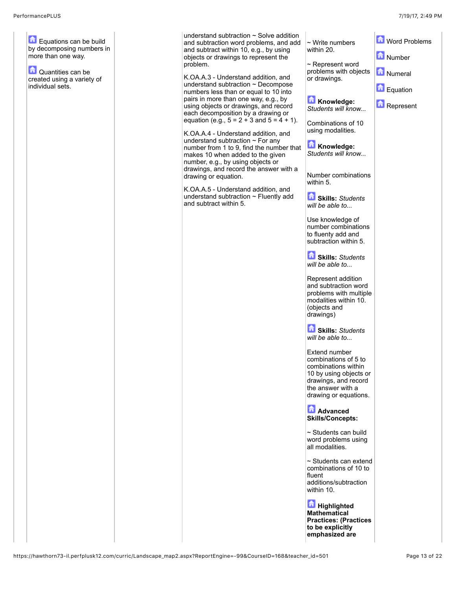Equations can be build by decomposing numbers in more than one way.

**D** Quantities can be created using a variety of individual sets.

understand subtraction ~ Solve addition and subtraction word problems, and and subtract within 10, e.g., by using objects or drawings to represent the problem.

K.OA.A.3 - Understand addition, and understand subtraction  $\sim$  Decompos numbers less than or equal to 10 into pairs in more than one way, e.g., by using objects or drawings, and recor each decomposition by a drawing or equation (e.g.,  $5 = 2 + 3$  and  $5 = 4 + 1$ ).

K.OA.A.4 - Understand addition, and understand subtraction  $\sim$  For any number from 1 to 9, find the number that makes 10 when added to the given number, e.g., by using objects or drawings, and record the answer with drawing or equation.

K.OA.A.5 - Understand addition, and understand subtraction  $\sim$  Fluently ad and subtract within 5.

| ition<br>l add<br>g | $\sim$ Write numbers<br>within 20.                                                                                                                           | Word Problems         |
|---------------------|--------------------------------------------------------------------------------------------------------------------------------------------------------------|-----------------------|
| d                   | $\sim$ Represent word<br>problems with objects<br>or drawings.                                                                                               | Number<br>Numeral     |
| se<br>to<br>rd      | Knowledge:                                                                                                                                                   | Equation<br>Represent |
| r<br>- 1).<br>d     | Students will know<br>Combinations of 10<br>using modalities.                                                                                                |                       |
| r that              | Knowledge:<br>Students will know                                                                                                                             |                       |
| th a                | Number combinations<br>within 5.                                                                                                                             |                       |
| d<br>hh             | <b>Skills: Students</b><br>will be able to                                                                                                                   |                       |
|                     | Use knowledge of<br>number combinations<br>to fluenty add and<br>subtraction within 5.                                                                       |                       |
|                     | Skills: Students<br>will be able to                                                                                                                          |                       |
|                     | Represent addition<br>and subtraction word<br>problems with multiple<br>modalities within 10.<br>(objects and<br>drawings)                                   |                       |
|                     | Skills: Students<br>will be able to                                                                                                                          |                       |
|                     | Extend number<br>combinations of 5 to<br>combinations within<br>10 by using objects or<br>drawings, and record<br>the answer with a<br>drawing or equations. |                       |
|                     | <b>A</b> Advanced<br><b>Skills/Concepts:</b>                                                                                                                 |                       |
|                     | $\sim$ Students can build<br>word problems using<br>all modalities.                                                                                          |                       |
|                     | $\sim$ Students can extend<br>combinations of 10 to<br>fluent<br>additions/subtraction<br>within 10.                                                         |                       |
|                     | <b>Highlighted</b><br>Mathematical<br><b>Practices: (Practices</b><br>to be explicitly<br>emphasized are                                                     |                       |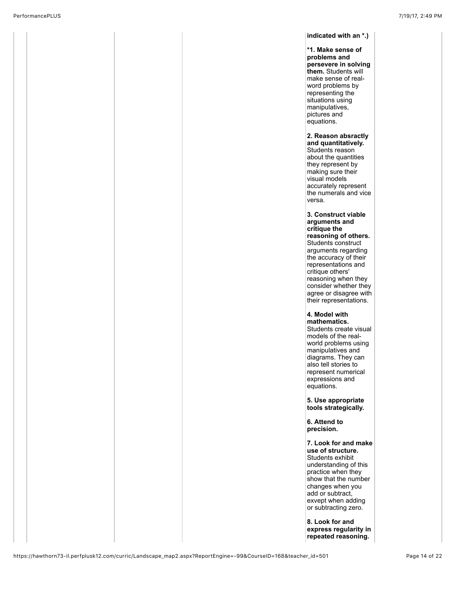**indicated with an \*.) \*1. Make sense of problems and persevere in solving them.** Students will make sense of realword problems by representing the situations using manipulatives, pictures and equations. **2. Reason absractly and quantitatively.** Students reason about the quantities they represent by making sure their visual models accurately represent the numerals and vice versa. **3. Construct viable arguments and critique the reasoning of others.** Students construct arguments regarding the accuracy of their representations and critique others' reasoning when they consider whether they agree or disagree with their representations. **4. Model with mathematics.** Students create visual models of the realworld problems using manipulatives and diagrams. They can also tell stories to represent numerical expressions and equations. **5. Use appropriate tools strategically. 6. Attend to precision. 7. Look for and make use of structure.** Students exhibit understanding of this practice when they show that the number changes when you add or subtract, exvept when adding or subtracting zero.

**8. Look for and express regularity in repeated reasoning.**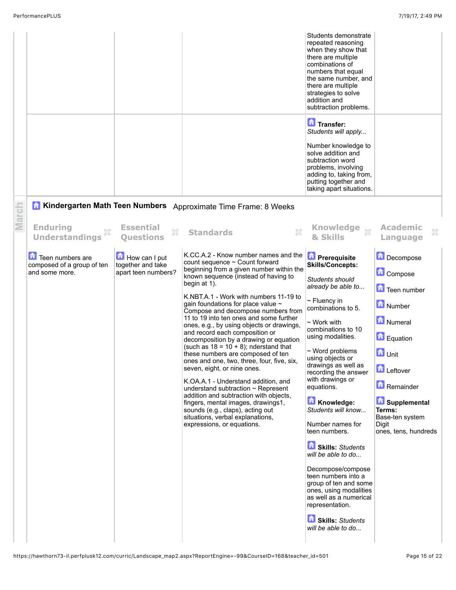|       |                                                                  |                                                           |                                                                                                                                                                                                                                                                                                                                                                                                                                                                                                                                                                                                                                                                                                                                                                                                                                                                                                                 | Students demonstrate<br>repeated reasoning<br>when they show that<br>there are multiple<br>combinations of<br>numbers that equal<br>the same number, and<br>there are multiple<br>strategies to solve<br>addition and<br>subtraction problems.<br>Transfer:<br>Students will apply<br>Number knowledge to<br>solve addition and<br>subtraction word<br>problems, involving<br>adding to, taking from,<br>putting together and<br>taking apart situations.                                                                                                                                                                                        |                                                                                                                                                                                                          |
|-------|------------------------------------------------------------------|-----------------------------------------------------------|-----------------------------------------------------------------------------------------------------------------------------------------------------------------------------------------------------------------------------------------------------------------------------------------------------------------------------------------------------------------------------------------------------------------------------------------------------------------------------------------------------------------------------------------------------------------------------------------------------------------------------------------------------------------------------------------------------------------------------------------------------------------------------------------------------------------------------------------------------------------------------------------------------------------|--------------------------------------------------------------------------------------------------------------------------------------------------------------------------------------------------------------------------------------------------------------------------------------------------------------------------------------------------------------------------------------------------------------------------------------------------------------------------------------------------------------------------------------------------------------------------------------------------------------------------------------------------|----------------------------------------------------------------------------------------------------------------------------------------------------------------------------------------------------------|
|       | 侖                                                                |                                                           | Kindergarten Math Teen Numbers Approximate Time Frame: 8 Weeks                                                                                                                                                                                                                                                                                                                                                                                                                                                                                                                                                                                                                                                                                                                                                                                                                                                  |                                                                                                                                                                                                                                                                                                                                                                                                                                                                                                                                                                                                                                                  |                                                                                                                                                                                                          |
| March | <b>Enduring</b><br>×<br><b>Understandings</b>                    | <b>Essential</b><br>×<br><b>Questions</b>                 | X<br><b>Standards</b>                                                                                                                                                                                                                                                                                                                                                                                                                                                                                                                                                                                                                                                                                                                                                                                                                                                                                           | Knowledge xx<br>& Skills                                                                                                                                                                                                                                                                                                                                                                                                                                                                                                                                                                                                                         | <b>Academic</b><br>×<br>Language                                                                                                                                                                         |
|       | Teen numbers are<br>composed of a group of ten<br>and some more. | How can I put<br>together and take<br>apart teen numbers? | K.CC.A.2 - Know number names and the<br>count sequence $\sim$ Count forward<br>beginning from a given number within the<br>known sequence (instead of having to<br>begin at 1).<br>K.NBT.A.1 - Work with numbers 11-19 to<br>gain foundations for place value ~<br>Compose and decompose numbers from<br>11 to 19 into ten ones and some further<br>ones, e.g., by using objects or drawings,<br>and record each composition or<br>decomposition by a drawing or equation<br>(such as $18 = 10 + 8$ ); nderstand that<br>these numbers are composed of ten<br>ones and one, two, three, four, five, six,<br>seven, eight, or nine ones.<br>K.OA.A.1 - Understand addition, and<br>understand subtraction $\sim$ Represent<br>addition and subtraction with objects,<br>fingers, mental images, drawings1,<br>sounds (e.g., claps), acting out<br>situations, verbal explanations,<br>expressions, or equations. | <b>D</b> Prerequisite<br><b>Skills/Concepts:</b><br><b>Students should</b><br>already be able to<br>$\sim$ Fluency in<br>combinations to 5.<br>$\sim$ Work with<br>combinations to 10<br>using modalities.<br>$\sim$ Word problems<br>using objects or<br>drawings as well as<br>recording the answer<br>with drawings or<br>equations.<br>Knowledge:<br>Students will know<br>Number names for<br>teen numbers.<br>Skills: Students<br>will be able to do<br>Decompose/compose<br>teen numbers into a<br>group of ten and some<br>ones, using modalities<br>as well as a numerical<br>representation.<br>Skills: Students<br>will be able to do | Decompose<br>Compose<br>Teen number<br>Number<br>Numeral<br>Equation<br><b>n</b> Unit<br><b>n</b><br>Leftover<br>Remainder<br>Supplemental<br>Terms:<br>Base-ten system<br>Digit<br>ones, tens, hundreds |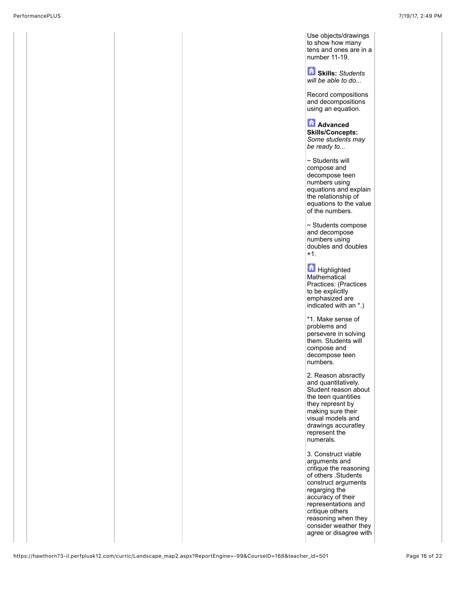Use objects/drawings to show how many tens and ones are in a number 11-19.

**Skills:** *Students will be able to do...*

Record compositions and decompositions using an equation.

**Advanced Skills/Concepts:** *Some students may be ready to...*

~ Students will compose and decompose teen numbers using equations and explain the relationship of equations to the value of the numbers.

~ Students compose and decompose numbers using doubles and doubles +1.

**Highlighted Mathematical** Practices: (Practices to be explicitly emphasized are indicated with an \*.)

\*1. Make sense of problems and persevere in solving them. Students will compose and decompose teen numbers.

2. Reason absractly and quantitatively. Student reason about the teen quantities they represnt by making sure their visual models and drawings accuratley represent the numerals.

3. Construct viable arguments and critique the reasoning of others .Students construct arguments regarging the accuracy of their representations and critique others reasoning when they consider weather they agree or disagree with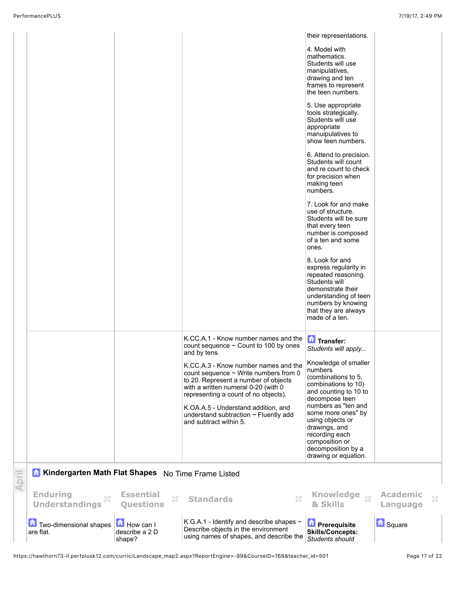|                                                    |                                              |                                                                                                                                                                                                                                                                                                                          | their representations.                                                                                                                                                                                                                                                                       |                             |   |
|----------------------------------------------------|----------------------------------------------|--------------------------------------------------------------------------------------------------------------------------------------------------------------------------------------------------------------------------------------------------------------------------------------------------------------------------|----------------------------------------------------------------------------------------------------------------------------------------------------------------------------------------------------------------------------------------------------------------------------------------------|-----------------------------|---|
|                                                    |                                              |                                                                                                                                                                                                                                                                                                                          | 4. Model with<br>mathematics.<br>Students will use<br>manipulatives,<br>drawing and ten<br>frames to represent<br>the teen numbers.                                                                                                                                                          |                             |   |
|                                                    |                                              |                                                                                                                                                                                                                                                                                                                          | 5. Use appropriate<br>tools strategically.<br>Students will use<br>appropriate<br>manuipulatives to<br>show teen numbers.                                                                                                                                                                    |                             |   |
|                                                    |                                              |                                                                                                                                                                                                                                                                                                                          | 6. Attend to precision.<br>Students will count<br>and re count to check<br>for precision when<br>making teen<br>numbers.                                                                                                                                                                     |                             |   |
|                                                    |                                              |                                                                                                                                                                                                                                                                                                                          | 7. Look for and make<br>use of structure.<br>Students will be sure<br>that every teen<br>number is composed<br>of a ten and some<br>ones.                                                                                                                                                    |                             |   |
|                                                    |                                              |                                                                                                                                                                                                                                                                                                                          | 8. Look for and<br>express regularity in<br>repeated reasoning.<br>Students will<br>demonstrate their<br>understanding of teen<br>numbers by knowing<br>that they are always<br>made of a ten.                                                                                               |                             |   |
|                                                    |                                              | K.CC.A.1 - Know number names and the<br>count sequence $\sim$ Count to 100 by ones<br>and by tens.                                                                                                                                                                                                                       | Transfer:<br>Students will apply                                                                                                                                                                                                                                                             |                             |   |
|                                                    |                                              | K.CC.A.3 - Know number names and the<br>count sequence $\sim$ Write numbers from 0<br>to 20. Represent a number of objects<br>with a written numeral 0-20 (with 0<br>representing a count of no objects).<br>K.OA.A.5 - Understand addition, and<br>understand subtraction $\sim$ Fluently add<br>and subtract within 5. | Knowledge of smaller<br>numbers<br>(combinations to 5,<br>combinations to 10)<br>and counting to 10 to<br>decompose teen<br>numbers as "ten and<br>some more ones" by<br>using objects or<br>drawings, and<br>recording each<br>composition or<br>decomposition by a<br>drawing or equation. |                             |   |
| Kindergarten Math Flat Shapes No Time Frame Listed |                                              |                                                                                                                                                                                                                                                                                                                          |                                                                                                                                                                                                                                                                                              |                             |   |
| <b>Enduring</b><br><b>Understandings</b>           | <b>Essential</b><br>X<br><b>Questions</b>    | ×<br><b>Standards</b>                                                                                                                                                                                                                                                                                                    | <b>Knowledge</b><br>$\bar{\chi}$<br>& Skills                                                                                                                                                                                                                                                 | <b>Academic</b><br>Language | × |
| <b>Two-dimensional shapes</b><br>are flat.         | <b>How can I</b><br>describe a 2 D<br>shape? | K.G.A.1 - Identify and describe shapes $\sim$<br>Describe objects in the environment<br>using names of shapes, and describe the                                                                                                                                                                                          | <b>D</b> Prerequisite<br><b>Skills/Concepts:</b><br>Students should                                                                                                                                                                                                                          | <b>b</b> Square             |   |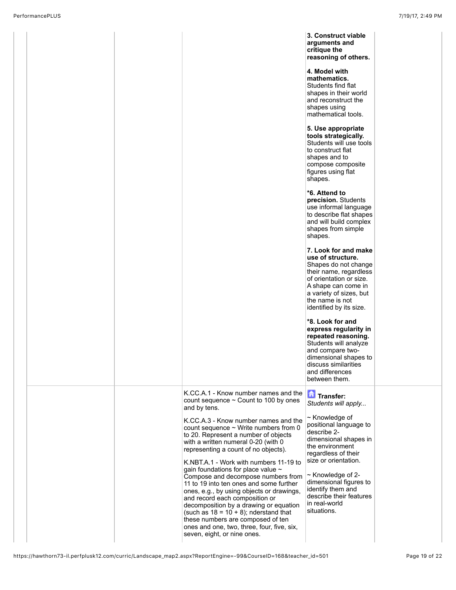|  |                                                                                                                                                                                                                                                                                                                                                                                                                                                                                                                                                                                                                                                                                                                                                                         | 3. Construct viable<br>arguments and<br>critique the<br>reasoning of others.<br>4. Model with<br>mathematics.<br>Students find flat<br>shapes in their world<br>and reconstruct the<br>shapes using<br>mathematical tools.<br>5. Use appropriate<br>tools strategically.<br>Students will use tools<br>to construct flat<br>shapes and to<br>compose composite<br>figures using flat<br>shapes.<br>*6. Attend to<br>precision. Students<br>use informal language<br>to describe flat shapes<br>and will build complex<br>shapes from simple<br>shapes.<br>7. Look for and make<br>use of structure.<br>Shapes do not change<br>their name, regardless<br>of orientation or size.<br>A shape can come in<br>a variety of sizes, but<br>the name is not<br>identified by its size.<br>*8. Look for and<br>express regularity in<br>repeated reasoning.<br>Students will analyze<br>and compare two- |  |
|--|-------------------------------------------------------------------------------------------------------------------------------------------------------------------------------------------------------------------------------------------------------------------------------------------------------------------------------------------------------------------------------------------------------------------------------------------------------------------------------------------------------------------------------------------------------------------------------------------------------------------------------------------------------------------------------------------------------------------------------------------------------------------------|---------------------------------------------------------------------------------------------------------------------------------------------------------------------------------------------------------------------------------------------------------------------------------------------------------------------------------------------------------------------------------------------------------------------------------------------------------------------------------------------------------------------------------------------------------------------------------------------------------------------------------------------------------------------------------------------------------------------------------------------------------------------------------------------------------------------------------------------------------------------------------------------------|--|
|  |                                                                                                                                                                                                                                                                                                                                                                                                                                                                                                                                                                                                                                                                                                                                                                         | dimensional shapes to<br>discuss similarities<br>and differences<br>between them.                                                                                                                                                                                                                                                                                                                                                                                                                                                                                                                                                                                                                                                                                                                                                                                                                 |  |
|  | K.CC.A.1 - Know number names and the<br>count sequence $\sim$ Count to 100 by ones<br>and by tens.<br>K.CC.A.3 - Know number names and the<br>count sequence $\sim$ Write numbers from 0<br>to 20. Represent a number of objects<br>with a written numeral 0-20 (with 0<br>representing a count of no objects).<br>K.NBT.A.1 - Work with numbers 11-19 to<br>gain foundations for place value ~<br>Compose and decompose numbers from<br>11 to 19 into ten ones and some further<br>ones, e.g., by using objects or drawings,<br>and record each composition or<br>decomposition by a drawing or equation<br>(such as $18 = 10 + 8$ ); nderstand that<br>these numbers are composed of ten<br>ones and one, two, three, four, five, six,<br>seven, eight, or nine ones. | Transfer:<br>Students will apply<br>~ Knowledge of<br>positional language to<br>describe 2-<br>dimensional shapes in<br>the environment<br>regardless of their<br>size or orientation.<br>~ Knowledge of 2-<br>dimensional figures to<br>identify them and<br>describe their features<br>in real-world<br>situations.                                                                                                                                                                                                                                                                                                                                                                                                                                                                                                                                                                             |  |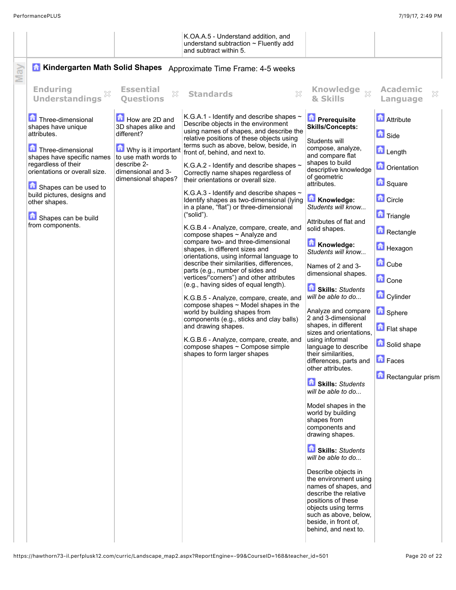|                                                                                                                                                                                                                                                                                       |                                                                                                                                         | K.OA.A.5 - Understand addition, and<br>understand subtraction $\sim$ Fluently add<br>and subtract within 5.                                                                                                                                                                                                                                                                                                                                                                                                                                                                                                                                                                                                                                                                                                                                                                                                                                                                                                                                                                                                                                                                                                                                             |                                                                                                                                                                                                                                                                                                                                                                                                                                                                                                                                                                                                                                                                                                                                                                                                                                                                                                                                                                                                                            |                                                                                                                                                                                                                                                                                                                                               |  |  |
|---------------------------------------------------------------------------------------------------------------------------------------------------------------------------------------------------------------------------------------------------------------------------------------|-----------------------------------------------------------------------------------------------------------------------------------------|---------------------------------------------------------------------------------------------------------------------------------------------------------------------------------------------------------------------------------------------------------------------------------------------------------------------------------------------------------------------------------------------------------------------------------------------------------------------------------------------------------------------------------------------------------------------------------------------------------------------------------------------------------------------------------------------------------------------------------------------------------------------------------------------------------------------------------------------------------------------------------------------------------------------------------------------------------------------------------------------------------------------------------------------------------------------------------------------------------------------------------------------------------------------------------------------------------------------------------------------------------|----------------------------------------------------------------------------------------------------------------------------------------------------------------------------------------------------------------------------------------------------------------------------------------------------------------------------------------------------------------------------------------------------------------------------------------------------------------------------------------------------------------------------------------------------------------------------------------------------------------------------------------------------------------------------------------------------------------------------------------------------------------------------------------------------------------------------------------------------------------------------------------------------------------------------------------------------------------------------------------------------------------------------|-----------------------------------------------------------------------------------------------------------------------------------------------------------------------------------------------------------------------------------------------------------------------------------------------------------------------------------------------|--|--|
| <b>Kindergarten Math Solid Shapes</b><br>H<br>Approximate Time Frame: 4-5 weeks                                                                                                                                                                                                       |                                                                                                                                         |                                                                                                                                                                                                                                                                                                                                                                                                                                                                                                                                                                                                                                                                                                                                                                                                                                                                                                                                                                                                                                                                                                                                                                                                                                                         |                                                                                                                                                                                                                                                                                                                                                                                                                                                                                                                                                                                                                                                                                                                                                                                                                                                                                                                                                                                                                            |                                                                                                                                                                                                                                                                                                                                               |  |  |
| <b>Enduring</b><br>×<br><b>Understandings</b>                                                                                                                                                                                                                                         | <b>Essential</b><br>X<br><b>Ouestions</b>                                                                                               | $\chi$<br><b>Standards</b>                                                                                                                                                                                                                                                                                                                                                                                                                                                                                                                                                                                                                                                                                                                                                                                                                                                                                                                                                                                                                                                                                                                                                                                                                              | <b>Knowledge</b><br>$\chi$<br>& Skills                                                                                                                                                                                                                                                                                                                                                                                                                                                                                                                                                                                                                                                                                                                                                                                                                                                                                                                                                                                     | <b>Academic</b><br>×<br>Language                                                                                                                                                                                                                                                                                                              |  |  |
| Three-dimensional<br>shapes have unique<br>attributes.<br>Three-dimensional<br>shapes have specific names<br>regardless of their<br>orientations or overall size.<br>Shapes can be used to<br>build pictures, designs and<br>other shapes.<br>Shapes can be build<br>from components. | How are 2D and<br>3D shapes alike and<br>different?<br>to use math words to<br>describe 2-<br>dimensional and 3-<br>dimensional shapes? | K.G.A.1 - Identify and describe shapes $\sim$<br>Describe objects in the environment<br>using names of shapes, and describe the<br>relative positions of these objects using<br>terms such as above, below, beside, in<br>Why is it important front of, behind, and next to.<br>K.G.A.2 - Identify and describe shapes $\sim$<br>Correctly name shapes regardless of<br>their orientations or overall size.<br>K.G.A.3 - Identify and describe shapes $\sim$<br>Identify shapes as two-dimensional (lying<br>in a plane, "flat") or three-dimensional<br>("solid").<br>K.G.B.4 - Analyze, compare, create, and<br>compose shapes ~ Analyze and<br>compare two- and three-dimensional<br>shapes, in different sizes and<br>orientations, using informal language to<br>describe their similarities, differences,<br>parts (e.g., number of sides and<br>vertices/"corners") and other attributes<br>(e.g., having sides of equal length).<br>K.G.B.5 - Analyze, compare, create, and<br>compose shapes $\sim$ Model shapes in the<br>world by building shapes from<br>components (e.g., sticks and clay balls)<br>and drawing shapes.<br>K.G.B.6 - Analyze, compare, create, and<br>compose shapes $\sim$ Compose simple<br>shapes to form larger shapes | <b>D</b> Prerequisite<br><b>Skills/Concepts:</b><br>Students will<br>compose, analyze,<br>and compare flat<br>shapes to build<br>descriptive knowledge<br>of geometric<br>attributes.<br>Knowledge:<br>Students will know<br>Attributes of flat and<br>solid shapes.<br>Knowledge:<br>Students will know<br>Names of 2 and 3-<br>dimensional shapes.<br>Skills: Students<br>will be able to do<br>Analyze and compare<br>2 and 3-dimensional<br>shapes, in different<br>sizes and orientations.<br>using informal<br>language to describe<br>their similarities.<br>differences, parts and<br>other attributes.<br>Skills: Students<br>will be able to do<br>Model shapes in the<br>world by building<br>shapes from<br>components and<br>drawing shapes.<br>Skills: Students<br>will be able to do<br>Describe objects in<br>the environment using<br>names of shapes, and<br>describe the relative<br>positions of these<br>objects using terms<br>such as above, below,<br>beside, in front of,<br>behind, and next to. | <b>Attribute</b><br><b>n</b> Side<br><b>D</b> Length<br><b>n</b> Orientation<br><b>B</b> Square<br><b>Circle</b><br><b>n</b> Triangle<br>Rectangle<br><b>H</b> exagon<br><b>d</b> Cube<br><b>n</b> Cone<br>Cylinder<br><b>G</b> Sphere<br><b>Flat shape</b><br><b>B</b> Solid shape<br>$\left  \mathbf{a} \right $ Faces<br>Rectangular prism |  |  |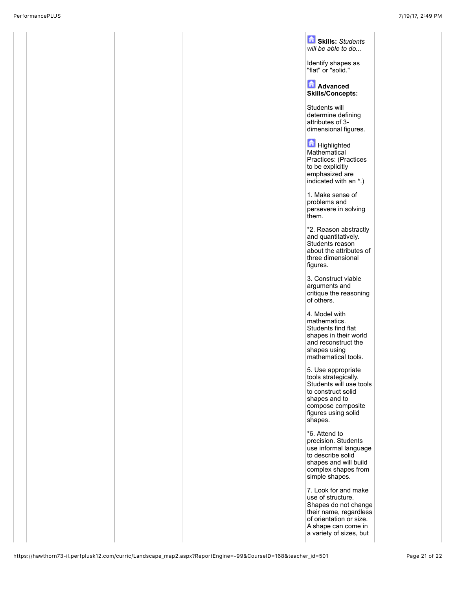